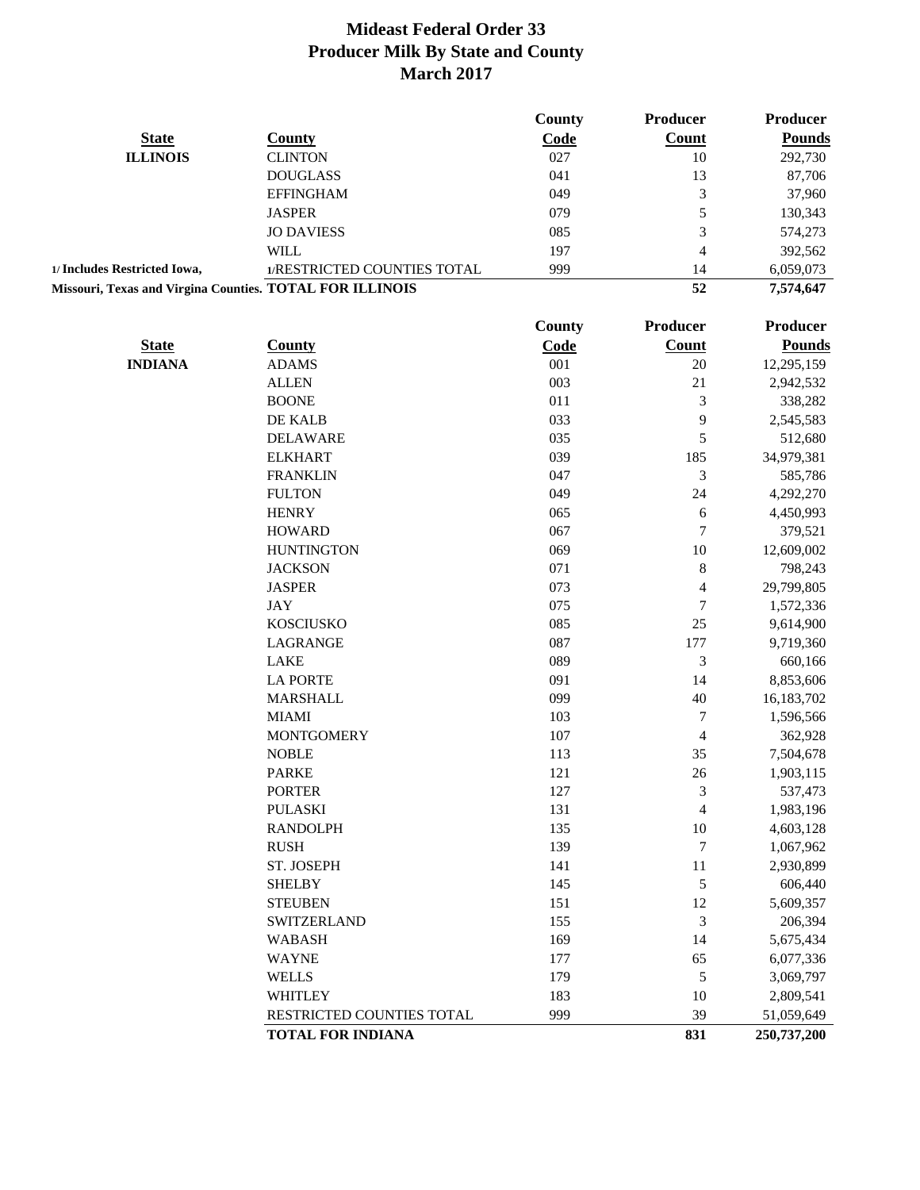|                                                          |                             | County | <b>Producer</b> | Producer      |
|----------------------------------------------------------|-----------------------------|--------|-----------------|---------------|
| <b>State</b>                                             | County                      | Code   | <b>Count</b>    | <b>Pounds</b> |
| <b>ILLINOIS</b>                                          | <b>CLINTON</b>              | 027    | 10              | 292,730       |
|                                                          | <b>DOUGLASS</b>             | 041    | 13              | 87,706        |
|                                                          | <b>EFFINGHAM</b>            | 049    | 3               | 37,960        |
|                                                          | <b>JASPER</b>               | 079    | 5               | 130,343       |
|                                                          | <b>JO DAVIESS</b>           | 085    | 3               | 574,273       |
|                                                          | WILL.                       | 197    | 4               | 392,562       |
| 1/ Includes Restricted Iowa,                             | 1/RESTRICTED COUNTIES TOTAL | 999    | 14              | 6,059,073     |
| Missouri, Texas and Virgina Counties. TOTAL FOR ILLINOIS |                             |        | 52              | 7,574,647     |

|                |                           | County | Producer       | Producer      |
|----------------|---------------------------|--------|----------------|---------------|
| <b>State</b>   | <b>County</b>             | Code   | Count          | <b>Pounds</b> |
| <b>INDIANA</b> | <b>ADAMS</b>              | 001    | 20             | 12,295,159    |
|                | <b>ALLEN</b>              | 003    | 21             | 2,942,532     |
|                | <b>BOONE</b>              | 011    | 3              | 338,282       |
|                | DE KALB                   | 033    | 9              | 2,545,583     |
|                | <b>DELAWARE</b>           | 035    | 5              | 512,680       |
|                | <b>ELKHART</b>            | 039    | 185            | 34,979,381    |
|                | <b>FRANKLIN</b>           | 047    | $\mathfrak 3$  | 585,786       |
|                | <b>FULTON</b>             | 049    | 24             | 4,292,270     |
|                | <b>HENRY</b>              | 065    | 6              | 4,450,993     |
|                | <b>HOWARD</b>             | 067    | $\overline{7}$ | 379,521       |
|                | <b>HUNTINGTON</b>         | 069    | 10             | 12,609,002    |
|                | <b>JACKSON</b>            | 071    | $\,8\,$        | 798,243       |
|                | <b>JASPER</b>             | 073    | $\overline{4}$ | 29,799,805    |
|                | <b>JAY</b>                | 075    | 7              | 1,572,336     |
|                | <b>KOSCIUSKO</b>          | 085    | 25             | 9,614,900     |
|                | LAGRANGE                  | 087    | 177            | 9,719,360     |
|                | <b>LAKE</b>               | 089    | 3              | 660,166       |
|                | <b>LA PORTE</b>           | 091    | 14             | 8,853,606     |
|                | <b>MARSHALL</b>           | 099    | 40             | 16,183,702    |
|                | <b>MIAMI</b>              | 103    | $\tau$         | 1,596,566     |
|                | <b>MONTGOMERY</b>         | 107    | $\overline{4}$ | 362,928       |
|                | <b>NOBLE</b>              | 113    | 35             | 7,504,678     |
|                | <b>PARKE</b>              | 121    | 26             | 1,903,115     |
|                | <b>PORTER</b>             | 127    | 3              | 537,473       |
|                | <b>PULASKI</b>            | 131    | $\overline{4}$ | 1,983,196     |
|                | <b>RANDOLPH</b>           | 135    | 10             | 4,603,128     |
|                | <b>RUSH</b>               | 139    | $\overline{7}$ | 1,067,962     |
|                | ST. JOSEPH                | 141    | 11             | 2,930,899     |
|                | <b>SHELBY</b>             | 145    | $\mathfrak s$  | 606,440       |
|                | <b>STEUBEN</b>            | 151    | 12             | 5,609,357     |
|                | <b>SWITZERLAND</b>        | 155    | 3              | 206,394       |
|                | <b>WABASH</b>             | 169    | 14             | 5,675,434     |
|                | <b>WAYNE</b>              | 177    | 65             | 6,077,336     |
|                | <b>WELLS</b>              | 179    | 5              | 3,069,797     |
|                | <b>WHITLEY</b>            | 183    | 10             | 2,809,541     |
|                | RESTRICTED COUNTIES TOTAL | 999    | 39             | 51,059,649    |
|                | <b>TOTAL FOR INDIANA</b>  |        | 831            | 250,737,200   |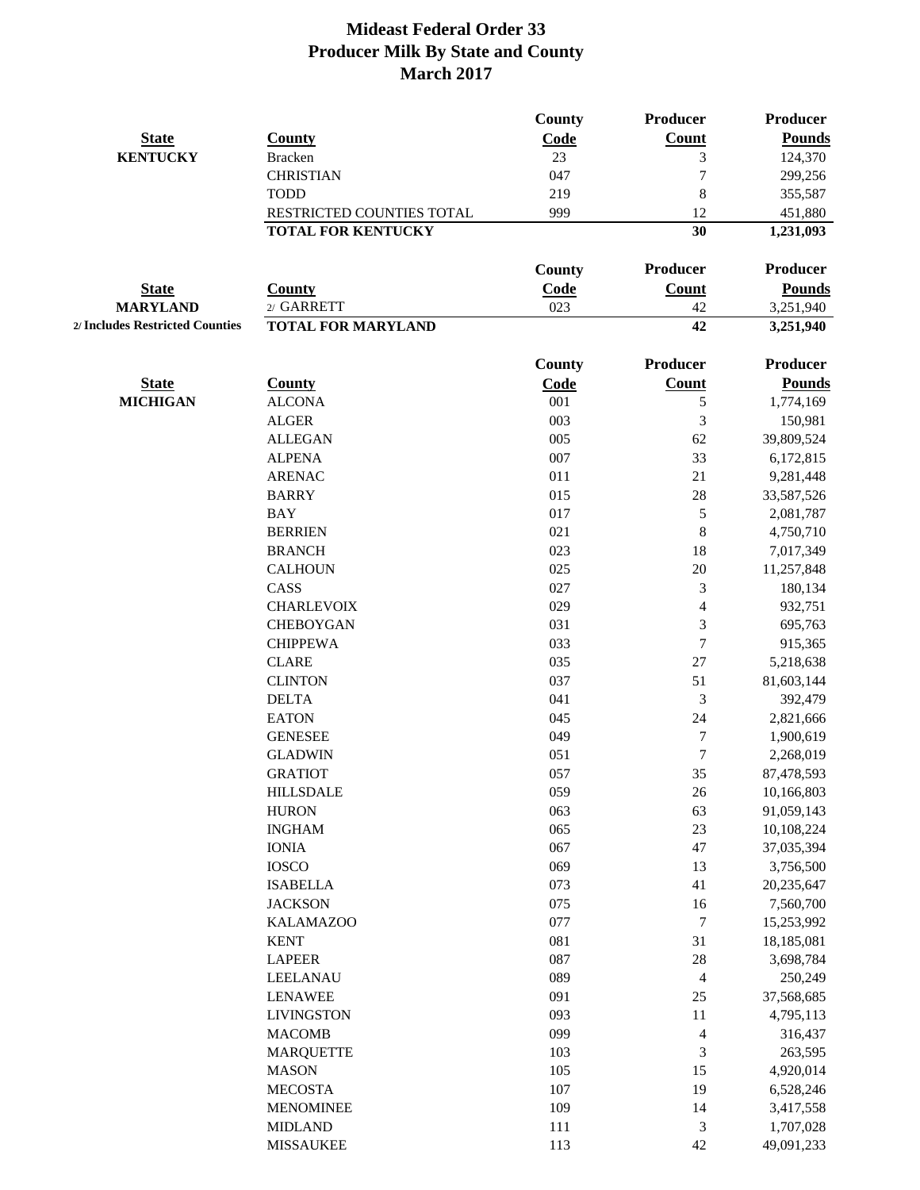|                                 |                           | <b>County</b> | Producer                    | <b>Producer</b> |
|---------------------------------|---------------------------|---------------|-----------------------------|-----------------|
| <b>State</b>                    | County                    | Code          | <b>Count</b>                | <b>Pounds</b>   |
| <b>KENTUCKY</b>                 | <b>Bracken</b>            | 23            | 3                           | 124,370         |
|                                 | <b>CHRISTIAN</b>          | 047           | $\overline{7}$              | 299,256         |
|                                 | <b>TODD</b>               | 219           | 8                           | 355,587         |
|                                 | RESTRICTED COUNTIES TOTAL | 999           | 12                          | 451,880         |
|                                 | <b>TOTAL FOR KENTUCKY</b> |               | 30                          | 1,231,093       |
|                                 |                           | <b>County</b> | Producer                    | <b>Producer</b> |
| <b>State</b>                    | <b>County</b>             | Code          | <b>Count</b>                | <b>Pounds</b>   |
| <b>MARYLAND</b>                 | 2/ GARRETT                | 023           | 42                          | 3,251,940       |
| 2/ Includes Restricted Counties | <b>TOTAL FOR MARYLAND</b> |               | 42                          | 3,251,940       |
|                                 |                           | <b>County</b> | Producer                    | <b>Producer</b> |
| <b>State</b>                    | <b>County</b>             | Code          | <b>Count</b>                | <b>Pounds</b>   |
| <b>MICHIGAN</b>                 | <b>ALCONA</b>             | 001           | $\mathfrak s$               | 1,774,169       |
|                                 | <b>ALGER</b>              | 003           | 3                           | 150,981         |
|                                 | <b>ALLEGAN</b>            | 005           | 62                          | 39,809,524      |
|                                 | <b>ALPENA</b>             | 007           | 33                          | 6,172,815       |
|                                 | <b>ARENAC</b>             | 011           | 21                          | 9,281,448       |
|                                 | <b>BARRY</b>              | 015           | 28                          | 33,587,526      |
|                                 | <b>BAY</b>                | 017           | $\mathfrak s$               | 2,081,787       |
|                                 | <b>BERRIEN</b>            | 021           | $\,$ 8 $\,$                 | 4,750,710       |
|                                 | <b>BRANCH</b>             | 023           | 18                          | 7,017,349       |
|                                 | <b>CALHOUN</b>            | 025           | 20                          | 11,257,848      |
|                                 | CASS                      | 027           | 3                           | 180,134         |
|                                 | <b>CHARLEVOIX</b>         | 029           | $\overline{\mathcal{L}}$    | 932,751         |
|                                 | <b>CHEBOYGAN</b>          | 031           | 3                           | 695,763         |
|                                 | <b>CHIPPEWA</b>           | 033           | $\tau$                      | 915,365         |
|                                 | <b>CLARE</b>              | 035           | $27\,$                      | 5,218,638       |
|                                 | <b>CLINTON</b>            | 037           | 51                          | 81,603,144      |
|                                 | <b>DELTA</b>              | 041           | 3                           | 392,479         |
|                                 | <b>EATON</b>              | 045           | 24                          | 2,821,666       |
|                                 | <b>GENESEE</b>            | 049           | $\boldsymbol{7}$            | 1,900,619       |
|                                 | <b>GLADWIN</b>            | 051           | 7                           | 2,268,019       |
|                                 | <b>GRATIOT</b>            | 057           | 35                          | 87,478,593      |
|                                 | <b>HILLSDALE</b>          | 059           | $26$                        | 10,166,803      |
|                                 | <b>HURON</b>              | 063           | 63                          | 91,059,143      |
|                                 | <b>INGHAM</b>             | 065           | $23\,$                      | 10,108,224      |
|                                 | <b>IONIA</b>              | 067           | 47                          | 37,035,394      |
|                                 | <b>IOSCO</b>              | 069           | 13                          | 3,756,500       |
|                                 | <b>ISABELLA</b>           | 073           | $41\,$                      | 20,235,647      |
|                                 | <b>JACKSON</b>            | 075           | 16                          | 7,560,700       |
|                                 | <b>KALAMAZOO</b>          | 077           | $\tau$                      | 15,253,992      |
|                                 | <b>KENT</b>               | 081           | 31                          | 18,185,081      |
|                                 | <b>LAPEER</b>             | 087           | $28\,$                      | 3,698,784       |
|                                 | <b>LEELANAU</b>           | 089           | 4                           | 250,249         |
|                                 | <b>LENAWEE</b>            | 091           | 25                          |                 |
|                                 |                           | 093           |                             | 37,568,685      |
|                                 | <b>LIVINGSTON</b>         |               | 11                          | 4,795,113       |
|                                 | <b>MACOMB</b>             | 099           | $\overline{\mathcal{A}}$    | 316,437         |
|                                 | <b>MARQUETTE</b>          | 103           | $\ensuremath{\mathfrak{Z}}$ | 263,595         |
|                                 | <b>MASON</b>              | 105           | 15                          | 4,920,014       |
|                                 | <b>MECOSTA</b>            | 107           | 19                          | 6,528,246       |
|                                 | <b>MENOMINEE</b>          | 109           | 14                          | 3,417,558       |
|                                 | <b>MIDLAND</b>            | 111           | 3                           | 1,707,028       |
|                                 | <b>MISSAUKEE</b>          | 113           | $42\,$                      | 49,091,233      |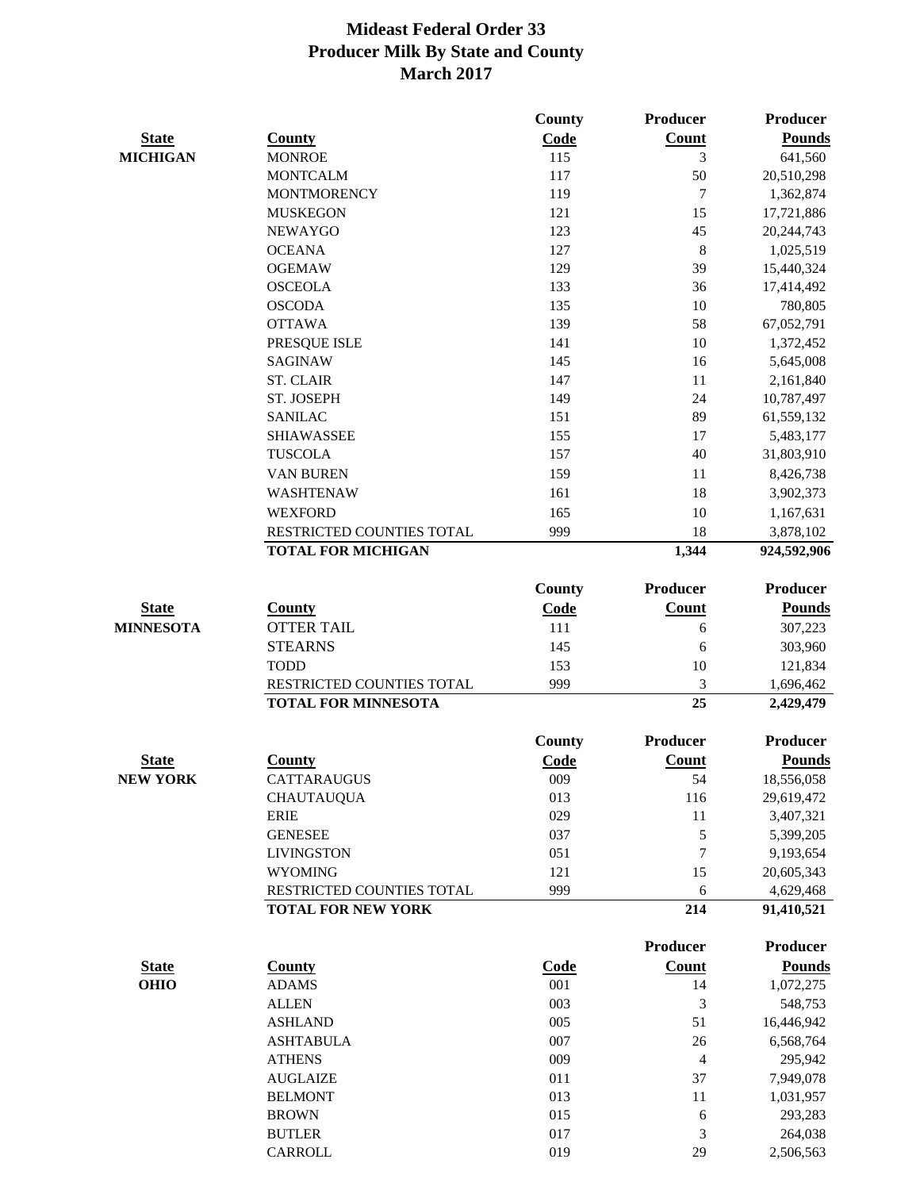|                  |                                          | County        | <b>Producer</b> | <b>Producer</b>        |
|------------------|------------------------------------------|---------------|-----------------|------------------------|
| <b>State</b>     | <b>County</b>                            | Code          | Count           | <b>Pounds</b>          |
| <b>MICHIGAN</b>  | <b>MONROE</b>                            | 115           | 3               | 641,560                |
|                  | <b>MONTCALM</b>                          | 117           | 50              | 20,510,298             |
|                  | <b>MONTMORENCY</b>                       | 119           | 7               | 1,362,874              |
|                  | <b>MUSKEGON</b>                          | 121           | 15              | 17,721,886             |
|                  | <b>NEWAYGO</b>                           | 123           | 45              | 20,244,743             |
|                  | <b>OCEANA</b>                            | 127           | 8               | 1,025,519              |
|                  | <b>OGEMAW</b>                            | 129           | 39              | 15,440,324             |
|                  | <b>OSCEOLA</b>                           | 133           | 36              | 17,414,492             |
|                  | <b>OSCODA</b>                            | 135           | $10\,$          | 780,805                |
|                  | <b>OTTAWA</b>                            | 139           | 58              | 67,052,791             |
|                  | PRESQUE ISLE                             | 141           | $10\,$          | 1,372,452              |
|                  | <b>SAGINAW</b>                           | 145           | 16              | 5,645,008              |
|                  | <b>ST. CLAIR</b>                         | 147           | 11              | 2,161,840              |
|                  | ST. JOSEPH                               | 149           | 24              | 10,787,497             |
|                  | <b>SANILAC</b>                           | 151           | 89              | 61,559,132             |
|                  | <b>SHIAWASSEE</b>                        | 155           | 17              | 5,483,177              |
|                  | <b>TUSCOLA</b>                           | 157           | 40              | 31,803,910             |
|                  | <b>VAN BUREN</b>                         | 159           | 11              | 8,426,738              |
|                  | WASHTENAW                                | 161           | 18              | 3,902,373              |
|                  | <b>WEXFORD</b>                           | 165           | 10              | 1,167,631              |
|                  | RESTRICTED COUNTIES TOTAL                | 999           | 18              | 3,878,102              |
|                  | <b>TOTAL FOR MICHIGAN</b>                |               | 1,344           | 924,592,906            |
|                  |                                          | <b>County</b> | <b>Producer</b> | <b>Producer</b>        |
| <b>State</b>     | <b>County</b>                            | Code          | <b>Count</b>    | <b>Pounds</b>          |
| <b>MINNESOTA</b> | <b>OTTER TAIL</b>                        | 111           | 6               | 307,223                |
|                  | <b>STEARNS</b>                           |               |                 |                        |
|                  |                                          | 145           | 6<br>10         | 303,960                |
|                  | <b>TODD</b><br>RESTRICTED COUNTIES TOTAL | 153<br>999    | 3               | 121,834                |
|                  | <b>TOTAL FOR MINNESOTA</b>               |               | $\overline{25}$ | 1,696,462<br>2,429,479 |
|                  |                                          |               |                 |                        |
|                  |                                          | County        | <b>Producer</b> | <b>Producer</b>        |
| <b>State</b>     | <b>County</b>                            | Code          | Count           | <b>Pounds</b>          |
| <b>NEW YORK</b>  | <b>CATTARAUGUS</b>                       | 009           | 54              | 18,556,058             |
|                  | <b>CHAUTAUQUA</b>                        | 013           | 116             | 29,619,472             |
|                  | <b>ERIE</b>                              | 029           | $11\,$          | 3,407,321              |
|                  | <b>GENESEE</b>                           | 037           | 5               | 5,399,205              |
|                  | <b>LIVINGSTON</b>                        | 051           | 7               | 9,193,654              |
|                  | <b>WYOMING</b>                           | 121           | 15              | 20,605,343             |
|                  | RESTRICTED COUNTIES TOTAL                | 999           | 6               | 4,629,468              |
|                  | <b>TOTAL FOR NEW YORK</b>                |               | 214             | 91,410,521             |
|                  |                                          |               | <b>Producer</b> | <b>Producer</b>        |
| <b>State</b>     | <b>County</b>                            | Code          | Count           | <b>Pounds</b>          |
| <b>OHIO</b>      | <b>ADAMS</b>                             | 001           | 14              | 1,072,275              |
|                  | <b>ALLEN</b>                             | 003           | 3               | 548,753                |
|                  | <b>ASHLAND</b>                           | 005           | 51              | 16,446,942             |
|                  | <b>ASHTABULA</b>                         | 007           | 26              | 6,568,764              |
|                  | <b>ATHENS</b>                            | 009           | 4               | 295,942                |
|                  | <b>AUGLAIZE</b>                          | 011           | 37              | 7,949,078              |
|                  | <b>BELMONT</b>                           | 013           | 11              | 1,031,957              |
|                  | <b>BROWN</b>                             | 015           | 6               | 293,283                |
|                  | <b>BUTLER</b>                            | 017           | 3               | 264,038                |
|                  | CARROLL                                  | 019           | 29              | 2,506,563              |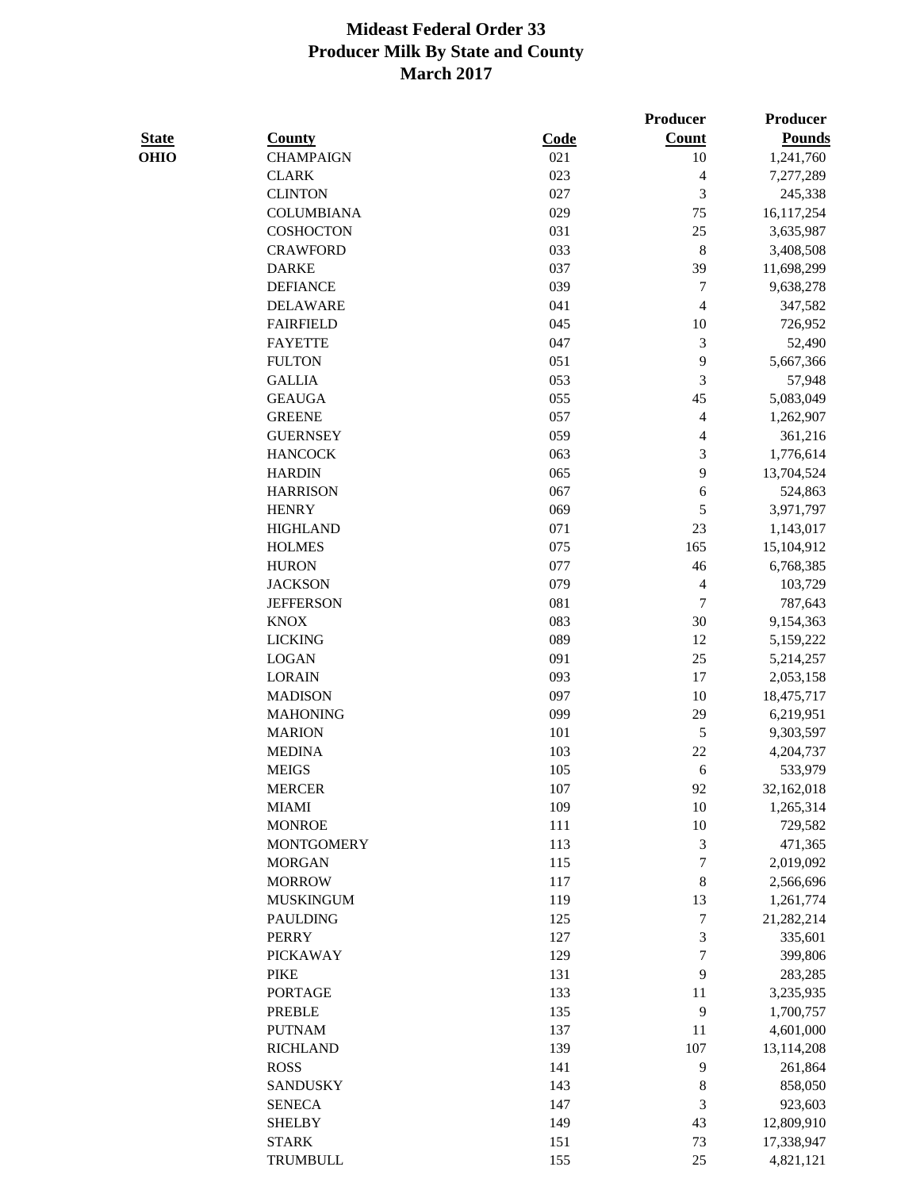|              |                   |         | <b>Producer</b>          | Producer      |
|--------------|-------------------|---------|--------------------------|---------------|
| <b>State</b> | <b>County</b>     | Code    | <b>Count</b>             | <b>Pounds</b> |
| <b>OHIO</b>  | <b>CHAMPAIGN</b>  | 021     | 10                       | 1,241,760     |
|              | <b>CLARK</b>      | 023     | $\overline{\mathcal{L}}$ | 7,277,289     |
|              | <b>CLINTON</b>    | 027     | $\mathfrak{Z}$           | 245,338       |
|              | <b>COLUMBIANA</b> | 029     | 75                       | 16,117,254    |
|              | <b>COSHOCTON</b>  | 031     | 25                       | 3,635,987     |
|              | <b>CRAWFORD</b>   | 033     | $\,8\,$                  | 3,408,508     |
|              | <b>DARKE</b>      | 037     | 39                       | 11,698,299    |
|              | <b>DEFIANCE</b>   | 039     | $\tau$                   | 9,638,278     |
|              | <b>DELAWARE</b>   | 041     | $\overline{4}$           | 347,582       |
|              | <b>FAIRFIELD</b>  | 045     | 10                       | 726,952       |
|              | <b>FAYETTE</b>    | 047     | $\mathfrak 3$            | 52,490        |
|              | <b>FULTON</b>     | 051     | 9                        | 5,667,366     |
|              | <b>GALLIA</b>     | 053     | 3                        | 57,948        |
|              | <b>GEAUGA</b>     | 055     | 45                       | 5,083,049     |
|              | <b>GREENE</b>     | 057     | $\overline{\mathcal{L}}$ | 1,262,907     |
|              | <b>GUERNSEY</b>   | 059     | $\overline{\mathcal{L}}$ | 361,216       |
|              | <b>HANCOCK</b>    | 063     | 3                        | 1,776,614     |
|              | <b>HARDIN</b>     | 065     | 9                        | 13,704,524    |
|              | <b>HARRISON</b>   | 067     | $\sqrt{6}$               | 524,863       |
|              | <b>HENRY</b>      | 069     | 5                        | 3,971,797     |
|              | <b>HIGHLAND</b>   | 071     | 23                       | 1,143,017     |
|              | <b>HOLMES</b>     | 075     | 165                      | 15,104,912    |
|              | <b>HURON</b>      | 077     | 46                       | 6,768,385     |
|              | <b>JACKSON</b>    | 079     | $\overline{4}$           | 103,729       |
|              | <b>JEFFERSON</b>  | 081     | $\tau$                   | 787,643       |
|              | <b>KNOX</b>       | 083     | 30                       | 9,154,363     |
|              | <b>LICKING</b>    | 089     | 12                       | 5,159,222     |
|              | <b>LOGAN</b>      | 091     | 25                       | 5,214,257     |
|              | <b>LORAIN</b>     | 093     | 17                       | 2,053,158     |
|              | <b>MADISON</b>    | 097     | 10                       | 18,475,717    |
|              | <b>MAHONING</b>   | 099     | 29                       | 6,219,951     |
|              | <b>MARION</b>     | 101     | $\sqrt{5}$               | 9,303,597     |
|              | <b>MEDINA</b>     | 103     | 22                       | 4,204,737     |
|              | <b>MEIGS</b>      | 105     | 6                        | 533,979       |
|              | <b>MERCER</b>     | 107     | 92                       | 32,162,018    |
|              | <b>MIAMI</b>      | 109     | $10\,$                   | 1,265,314     |
|              | <b>MONROE</b>     | $111\,$ | $10\,$                   | 729,582       |
|              | <b>MONTGOMERY</b> | 113     | $\mathfrak 3$            | 471,365       |
|              | <b>MORGAN</b>     | 115     | $\tau$                   | 2,019,092     |
|              | <b>MORROW</b>     | 117     | $\,$ 8 $\,$              | 2,566,696     |
|              | <b>MUSKINGUM</b>  | 119     | 13                       | 1,261,774     |
|              | <b>PAULDING</b>   | 125     | $\boldsymbol{7}$         | 21,282,214    |
|              | <b>PERRY</b>      | 127     | 3                        | 335,601       |
|              | <b>PICKAWAY</b>   | 129     | $\boldsymbol{7}$         | 399,806       |
|              | <b>PIKE</b>       | 131     | 9                        | 283,285       |
|              | <b>PORTAGE</b>    | 133     | 11                       | 3,235,935     |
|              | PREBLE            | 135     | 9                        | 1,700,757     |
|              | <b>PUTNAM</b>     | 137     | 11                       | 4,601,000     |
|              | <b>RICHLAND</b>   | 139     | 107                      | 13,114,208    |
|              | <b>ROSS</b>       | 141     | 9                        | 261,864       |
|              | <b>SANDUSKY</b>   | 143     | $\,$ 8 $\,$              | 858,050       |
|              | <b>SENECA</b>     | 147     | 3                        | 923,603       |
|              | <b>SHELBY</b>     | 149     | 43                       | 12,809,910    |
|              | <b>STARK</b>      | 151     | 73                       |               |
|              | <b>TRUMBULL</b>   |         | 25                       | 17,338,947    |
|              |                   | 155     |                          | 4,821,121     |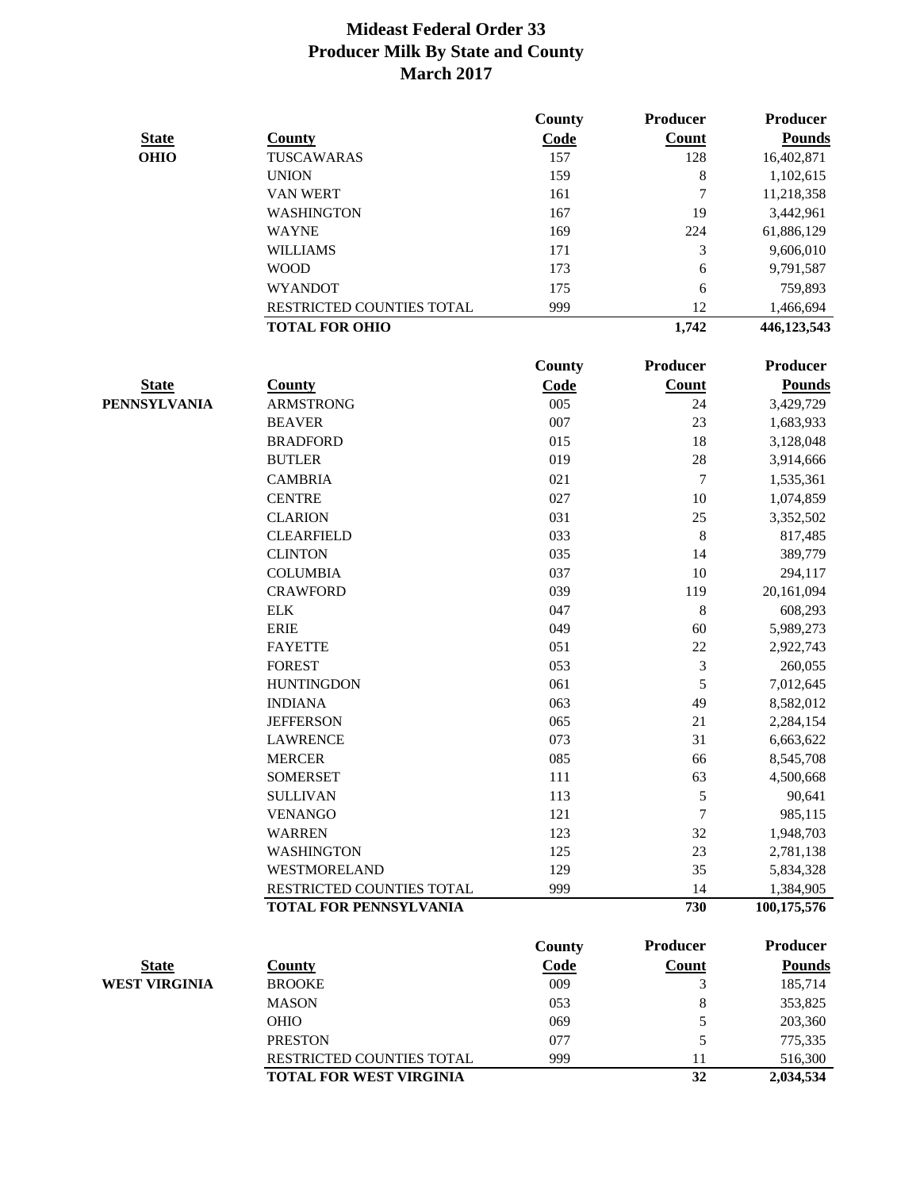|                      |                           | County        | Producer     | Producer        |
|----------------------|---------------------------|---------------|--------------|-----------------|
| <b>State</b>         | <b>County</b>             | Code          | Count        | <b>Pounds</b>   |
| <b>OHIO</b>          | TUSCAWARAS                | 157           | 128          | 16,402,871      |
|                      | <b>UNION</b>              | 159           | 8            | 1,102,615       |
|                      | <b>VAN WERT</b>           | 161           | 7            | 11,218,358      |
|                      | WASHINGTON                | 167           | 19           | 3,442,961       |
|                      | <b>WAYNE</b>              | 169           | 224          | 61,886,129      |
|                      | <b>WILLIAMS</b>           | 171           | 3            | 9,606,010       |
|                      | <b>WOOD</b>               | 173           | 6            | 9,791,587       |
|                      | <b>WYANDOT</b>            | 175           | 6            | 759,893         |
|                      | RESTRICTED COUNTIES TOTAL | 999           | 12           | 1,466,694       |
|                      | <b>TOTAL FOR OHIO</b>     |               | 1,742        | 446,123,543     |
|                      |                           |               |              |                 |
|                      |                           | County        | Producer     | <b>Producer</b> |
| <b>State</b>         | <b>County</b>             | Code          | <b>Count</b> | <b>Pounds</b>   |
| PENNSYLVANIA         | <b>ARMSTRONG</b>          | 005           | 24           | 3,429,729       |
|                      | <b>BEAVER</b>             | 007           | 23           | 1,683,933       |
|                      | <b>BRADFORD</b>           | 015           | 18           | 3,128,048       |
|                      | <b>BUTLER</b>             | 019           | 28           | 3,914,666       |
|                      | <b>CAMBRIA</b>            | 021           | 7            | 1,535,361       |
|                      | <b>CENTRE</b>             | 027           | $10\,$       | 1,074,859       |
|                      | <b>CLARION</b>            | 031           | 25           | 3,352,502       |
|                      | <b>CLEARFIELD</b>         | 033           | 8            | 817,485         |
|                      | <b>CLINTON</b>            | 035           | 14           | 389,779         |
|                      | <b>COLUMBIA</b>           | 037           | 10           | 294,117         |
|                      | <b>CRAWFORD</b>           | 039           | 119          | 20,161,094      |
|                      | <b>ELK</b>                | 047           | 8            | 608,293         |
|                      | <b>ERIE</b>               | 049           | 60           | 5,989,273       |
|                      | <b>FAYETTE</b>            | 051           | 22           | 2,922,743       |
|                      | <b>FOREST</b>             | 053           | 3            | 260,055         |
|                      | <b>HUNTINGDON</b>         | 061           | 5            | 7,012,645       |
|                      | <b>INDIANA</b>            | 063           | 49           | 8,582,012       |
|                      | <b>JEFFERSON</b>          | 065           | 21           | 2,284,154       |
|                      | <b>LAWRENCE</b>           | 073           | 31           | 6,663,622       |
|                      | <b>MERCER</b>             | 085           | 66           | 8,545,708       |
|                      | <b>SOMERSET</b>           | 111           | 63           | 4,500,668       |
|                      | <b>SULLIVAN</b>           | 113           | 5            | 90,641          |
|                      | <b>VENANGO</b>            | 121           | 7            | 985,115         |
|                      | <b>WARREN</b>             | 123           | 32           | 1,948,703       |
|                      | <b>WASHINGTON</b>         | 125           | 23           | 2,781,138       |
|                      | WESTMORELAND              | 129           | 35           | 5,834,328       |
|                      | RESTRICTED COUNTIES TOTAL | 999           | 14           | 1,384,905       |
|                      | TOTAL FOR PENNSYLVANIA    |               | 730          | 100,175,576     |
|                      |                           |               |              |                 |
|                      |                           | <b>County</b> | Producer     | <b>Producer</b> |
| <b>State</b>         | <b>County</b>             | Code          | <b>Count</b> | <b>Pounds</b>   |
| <b>WEST VIRGINIA</b> | <b>BROOKE</b>             | 009           | 3            | 185,714         |
|                      | <b>MASON</b>              | 053           | 8            | 353,825         |
|                      | OHIO                      | 069           | 5            | 203,360         |
|                      | <b>PRESTON</b>            | 077           | 5            | 775,335         |
|                      | RESTRICTED COUNTIES TOTAL | 999           | 11           | 516,300         |
|                      | TOTAL FOR WEST VIRGINIA   |               | 32           | 2,034,534       |